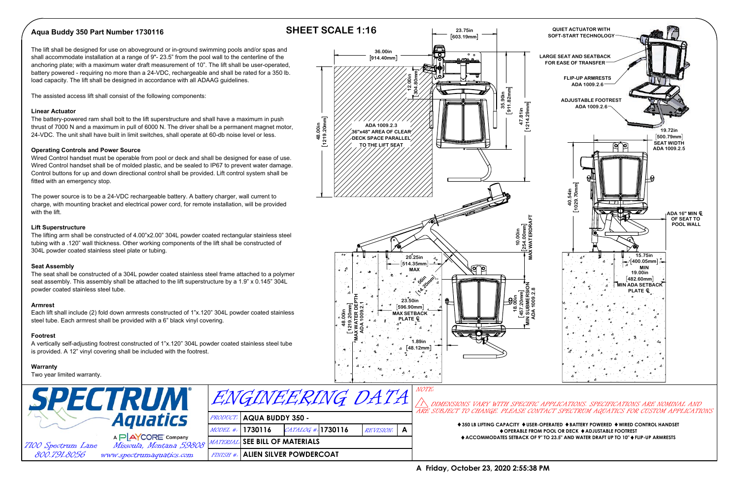# **Aqua Buddy 350 Part Number 1730116**

# **SHEET SCALE 1:16**

The lift shall be designed for use on aboveground or in-ground swimming pools and/or spas and shall accommodate installation at a range of 9"- 23.5" from the pool wall to the centerline of the anchoring plate; with a maximum water draft measurement of 10". The lift shall be user-operated, battery powered - requiring no more than a 24-VDC, rechargeable and shall be rated for a 350 lb. load capacity. The lift shall be designed in accordance with all ADAAG guidelines.

The assisted access lift shall consist of the following components:

#### **Linear Actuator**

The battery-powered ram shall bolt to the lift superstructure and shall have a maximum in push thrust of 7000 N and a maximum in pull of 6000 N. The driver shall be a permanent magnet motor, 24-VDC. The unit shall have built in limit switches, shall operate at 60-db noise level or less.

### **Operating Controls and Power Source**



Wired Control handset must be operable from pool or deck and shall be designed for ease of use. Wired Control handset shall be of molded plastic, and be sealed to IP67 to prevent water damage. Control buttons for up and down directional control shall be provided. Lift control system shall be fitted with an emergency stop.

The power source is to be a 24-VDC rechargeable battery. A battery charger, wall current to charge, with mounting bracket and electrical power cord, for remote installation, will be provided with the lift.

#### **Lift Superstructure**

The lifting arm shall be constructed of 4.00"x2.00" 304L powder coated rectangular stainless steel tubing with a .120" wall thickness. Other working components of the lift shall be constructed of 304L powder coated stainless steel plate or tubing.

#### **Seat Assembly**

The seat shall be constructed of a 304L powder coated stainless steel frame attached to a polymer seat assembly. This assembly shall be attached to the lift superstructure by a 1.9" x 0.145" 304L powder coated stainless steel tube.

#### **Armrest**

Each lift shall include (2) fold down armrests constructed of 1"x.120" 304L powder coated stainless steel tube. Each armrest shall be provided with a 6" black vinyl covering.

#### **Footrest**

A vertically self-adjusting footrest constructed of 1"x.120" 304L powder coated stainless steel tube is provided. A 12" vinyl covering shall be included with the footrest.

#### **Warranty**

Two year limited warranty.



MATERIAL:



PRODUCT: **AQUA BUDDY 350 -** 

MODEL #: **1730116**

## **A Friday, October 23, 2020 2:55:38 PM**